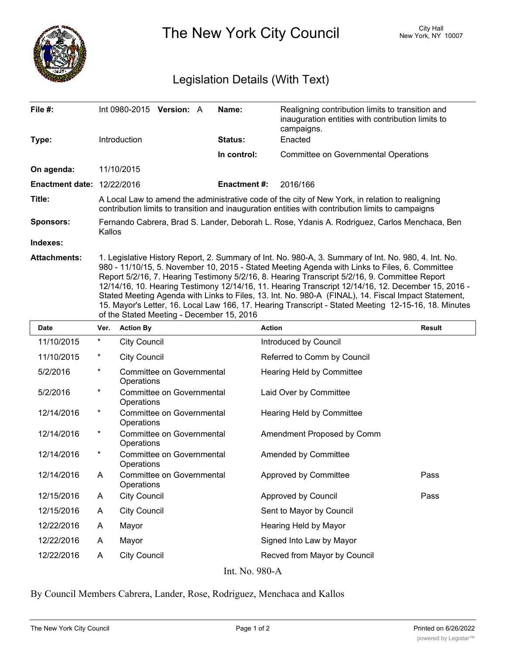

The New York City Council New York, NY 10007

## Legislation Details (With Text)

| File #:                           | Int 0980-2015<br><b>Version: A</b>                                                                                                                                                                                                                                                                                                                                                                                                                                                                                                                                                                                                                                        | Name:               | Realigning contribution limits to transition and<br>inauguration entities with contribution limits to<br>campaigns. |  |  |
|-----------------------------------|---------------------------------------------------------------------------------------------------------------------------------------------------------------------------------------------------------------------------------------------------------------------------------------------------------------------------------------------------------------------------------------------------------------------------------------------------------------------------------------------------------------------------------------------------------------------------------------------------------------------------------------------------------------------------|---------------------|---------------------------------------------------------------------------------------------------------------------|--|--|
| Type:                             | <b>Introduction</b>                                                                                                                                                                                                                                                                                                                                                                                                                                                                                                                                                                                                                                                       | Status:             | Enacted                                                                                                             |  |  |
|                                   |                                                                                                                                                                                                                                                                                                                                                                                                                                                                                                                                                                                                                                                                           | In control:         | <b>Committee on Governmental Operations</b>                                                                         |  |  |
| On agenda:                        | 11/10/2015                                                                                                                                                                                                                                                                                                                                                                                                                                                                                                                                                                                                                                                                |                     |                                                                                                                     |  |  |
| <b>Enactment date: 12/22/2016</b> |                                                                                                                                                                                                                                                                                                                                                                                                                                                                                                                                                                                                                                                                           | <b>Enactment #:</b> | 2016/166                                                                                                            |  |  |
| Title:                            | A Local Law to amend the administrative code of the city of New York, in relation to realigning<br>contribution limits to transition and inauguration entities with contribution limits to campaigns                                                                                                                                                                                                                                                                                                                                                                                                                                                                      |                     |                                                                                                                     |  |  |
| <b>Sponsors:</b>                  | Fernando Cabrera, Brad S. Lander, Deborah L. Rose, Ydanis A. Rodriguez, Carlos Menchaca, Ben<br>Kallos                                                                                                                                                                                                                                                                                                                                                                                                                                                                                                                                                                    |                     |                                                                                                                     |  |  |
| Indexes:                          |                                                                                                                                                                                                                                                                                                                                                                                                                                                                                                                                                                                                                                                                           |                     |                                                                                                                     |  |  |
| <b>Attachments:</b>               | 1. Legislative History Report, 2. Summary of Int. No. 980-A, 3. Summary of Int. No. 980, 4. Int. No.<br>980 - 11/10/15, 5. November 10, 2015 - Stated Meeting Agenda with Links to Files, 6. Committee<br>Report 5/2/16, 7. Hearing Testimony 5/2/16, 8. Hearing Transcript 5/2/16, 9. Committee Report<br>12/14/16, 10. Hearing Testimony 12/14/16, 11. Hearing Transcript 12/14/16, 12. December 15, 2016 -<br>Stated Meeting Agenda with Links to Files, 13. Int. No. 980-A (FINAL), 14. Fiscal Impact Statement,<br>15. Mayor's Letter, 16. Local Law 166, 17. Hearing Transcript - Stated Meeting 12-15-16, 18. Minutes<br>of the Stated Meeting - December 15, 2016 |                     |                                                                                                                     |  |  |

| <b>Date</b>    | Ver.     | <b>Action By</b>                        | <b>Action</b>                | <b>Result</b> |  |
|----------------|----------|-----------------------------------------|------------------------------|---------------|--|
| 11/10/2015     | $^\ast$  | City Council                            | Introduced by Council        |               |  |
| 11/10/2015     | $^\ast$  | <b>City Council</b>                     | Referred to Comm by Council  |               |  |
| 5/2/2016       | $\star$  | Committee on Governmental<br>Operations | Hearing Held by Committee    |               |  |
| 5/2/2016       | $\star$  | Committee on Governmental<br>Operations | Laid Over by Committee       |               |  |
| 12/14/2016     | $^\star$ | Committee on Governmental<br>Operations | Hearing Held by Committee    |               |  |
| 12/14/2016     | $^\star$ | Committee on Governmental<br>Operations | Amendment Proposed by Comm   |               |  |
| 12/14/2016     | $^\star$ | Committee on Governmental<br>Operations | Amended by Committee         |               |  |
| 12/14/2016     | A        | Committee on Governmental<br>Operations | Approved by Committee        | Pass          |  |
| 12/15/2016     | A        | <b>City Council</b>                     | Approved by Council          | Pass          |  |
| 12/15/2016     | A        | <b>City Council</b>                     | Sent to Mayor by Council     |               |  |
| 12/22/2016     | A        | Mayor                                   | Hearing Held by Mayor        |               |  |
| 12/22/2016     | A        | Mayor                                   | Signed Into Law by Mayor     |               |  |
| 12/22/2016     | A        | <b>City Council</b>                     | Recved from Mayor by Council |               |  |
| Int. No. 980-A |          |                                         |                              |               |  |

By Council Members Cabrera, Lander, Rose, Rodriguez, Menchaca and Kallos